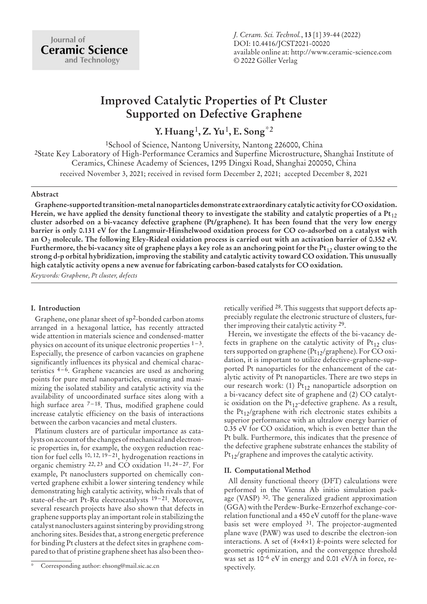# **Improved Catalytic Properties of Pt Cluster Supported on Defective Graphene**

**Y. Huang**1**, Z. Yu**1**, E. Song**\*2

1School of Science, Nantong University, Nantong 226000, China 2State Key Laboratory of High-Performance Ceramics and Superfine Microstructure, Shanghai Institute of Ceramics, Chinese Academy of Sciences, 1295 Dingxi Road, Shanghai 200050, China received November 3, 2021; received in revised form December 2, 2021; accepted December 8, 2021

### **Abstract**

**Graphene-supported transition-metal nanoparticles demonstrate extraordinary catalytic activity for CO oxidation.** Herein, we have applied the density functional theory to investigate the stability and catalytic properties of a Pt<sub>12</sub> **cluster adsorbed on a bi-vacancy defective graphene (Pt/graphene). It has been found that the very low energy barrier is only 0.131 eV for the Langmuir-Hinshelwood oxidation process for CO co-adsorbed on a catalyst with an O**<sup>2</sup> **molecule. The following Eley-Rideal oxidation process is carried out with an activation barrier of 0.352 eV. Furthermore, the bi-vacancy site of graphene plays a key role as an anchoring point for the Pt**<sup>12</sup> **cluster owing to the strong d-p orbital hybridization, improving the stability and catalytic activity toward CO oxidation. This unusually high catalytic activity opens a new avenue for fabricating carbon-based catalysts for CO oxidation.**

*Keywords: Graphene, Pt cluster, defects*

## **I. Introduction**

Graphene, one planar sheet of sp2-bonded carbon atoms arranged in a hexagonal lattice, has recently attracted wide attention in materials science and condensed-matter physics on account of its unique electronic properties 1–3. Especially, the presence of carbon vacancies on graphene significantly influences its physical and chemical characteristics 4–6. Graphene vacancies are used as anchoring points for pure metal nanoparticles, ensuring and maximizing the isolated stability and catalytic activity via the availability of uncoordinated surface sites along with a high surface area  $7-18$ . Thus, modified graphene could increase catalytic efficiency on the basis of interactions between the carbon vacancies and metal clusters.

Platinum clusters are of particular importance as catalysts on account of the changes of mechanical and electronic properties in, for example, the oxygen reduction reaction for fuel cells <sup>10, 12, 19-21</sup>, hydrogenation reactions in organic chemistry 22, 23 and CO oxidation 11, 24 – 27. For example, Pt nanoclusters supported on chemically converted graphene exhibit a lower sintering tendency while demonstrating high catalytic activity, which rivals that of state-of-the-art Pt-Ru electrocatalysts <sup>19-21</sup>. Moreover, several research projects have also shown that defects in graphene supports play an important role in stabilizing the catalyst nanoclusters against sintering by providing strong anchoring sites. Besides that, a strong energetic preference for binding Pt clusters at the defect sites in graphene compared to that of pristine graphene sheet has also been theoretically verified 28. This suggests that support defects appreciably regulate the electronic structure of clusters, further improving their catalytic activity 29.

Herein, we investigate the effects of the bi-vacancy defects in graphene on the catalytic activity of  $Pt_{12}$  clusters supported on graphene ( $Pt_{12}/$ graphene). For CO oxidation, it is important to utilize defective-graphene-supported Pt nanoparticles for the enhancement of the catalytic activity of Pt nanoparticles. There are two steps in our research work: (1) Pt<sub>12</sub> nanoparticle adsorption on a bi-vacancy defect site of graphene and (2) CO catalytic oxidation on the  $Pt_{12}$ -defective graphene. As a result, the Pt<sub>12</sub>/graphene with rich electronic states exhibits a superior performance with an ultralow energy barrier of 0.35 eV for CO oxidation, which is even better than the Pt bulk. Furthermore, this indicates that the presence of the defective graphene substrate enhances the stability of  $Pt_{12}/$ graphene and improves the catalytic activity.

## **II. Computational Method**

All density functional theory (DFT) calculations were performed in the Vienna Ab initio simulation package (VASP) 30. The generalized gradient approximation (GGA) with the Perdew-Burke-Ernzerhof exchange-correlation functional and a 450 eV cutoff for the plane-wave basis set were employed 31. The projector-augmented plane wave (PAW) was used to describe the electron-ion interactions. A set of (4×4×1) *k*-points were selected for geometric optimization, and the convergence threshold was set as  $10^{-6}$  eV in energy and 0.01 eV/ $\AA$  in force, respectively.

<sup>\*</sup> Corresponding author: ehsong@mail.sic.ac.cn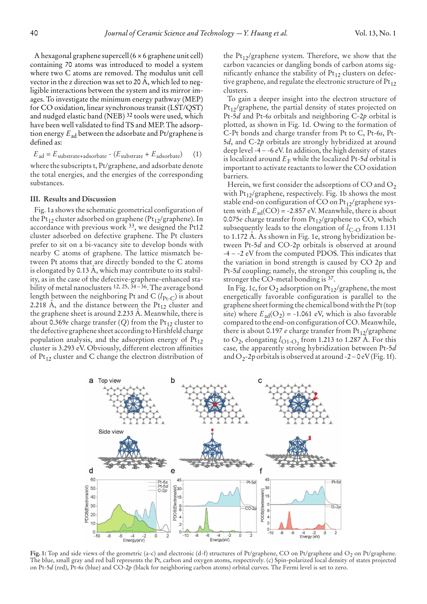A hexagonal graphene supercell (6 × 6 graphene unit cell) containing 70 atoms was introduced to model a system where two C atoms are removed. The modulus unit cell vector in the *z* direction was set to 20 A, which led to negligible interactions between the system and its mirror images. To investigate the minimum energy pathway (MEP) for CO oxidation, linear synchronous transit (LST/QST) and nudged elastic band (NEB) 32 tools were used, which have been well validated to find TS and MEP. The adsorption energy *E*ad between the adsorbate and Pt/graphene is defined as:

 $E_{\text{ad}} = E_{\text{substrate+adsorbate}} - (E_{\text{substrate}} + E_{\text{adsorbate}}) \tag{1}$ where the subscripts t, Pt/graphene, and adsorbate denote the total energies, and the energies of the corresponding substances.

#### **III. Results and Discussion**

Fig. 1a shows the schematic geometrical configuration of the Pt<sub>12</sub> cluster adsorbed on graphene (Pt<sub>12</sub>/graphene). In accordance with previous work 33, we designed the Pt12 cluster adsorbed on defective graphene. The Pt clusters prefer to sit on a bi-vacancy site to develop bonds with nearby C atoms of graphene. The lattice mismatch between Pt atoms that are directly bonded to the C atoms is elongated by  $0.13$  Å, which may contribute to its stability, as in the case of the defective-graphene-enhanced stability of metal nanoclusters <sup>12, 25, 34-36</sup>. The average bond length between the neighboring Pt and C  $(l_{\text{Pt-C}})$  is about 2.218 A, and the distance between the  $Pt_{12}$  cluster and the graphene sheet is around 2.233 A. Meanwhile, there is about 0.369*e* charge transfer  $(Q)$  from the Pt<sub>12</sub> cluster to the defective graphene sheet according to Hirshfeld charge population analysis, and the adsorption energy of  $Pt_{12}$ cluster is 3.293 eV. Obviously, different electron affinities of  $Pt_{12}$  cluster and C change the electron distribution of the  $Pt_{12}/graphene$  system. Therefore, we show that the carbon vacancies or dangling bonds of carbon atoms significantly enhance the stability of  $Pt_{12}$  clusters on defective graphene, and regulate the electronic structure of  $Pt_{12}$ clusters.

To gain a deeper insight into the electron structure of  $Pt_{12}/$ graphene, the partial density of states projected on Pt-5*d* and Pt-6*s* orbitals and neighboring C-2*p* orbital is plotted, as shown in Fig. 1d. Owing to the formation of C-Pt bonds and charge transfer from Pt to C, Pt-6*s*, Pt-5*d*, and C-2*p* orbitals are strongly hybridized at around deep level -4 ∼ -6 eV. In addition, the high density of states is localized around  $E_F$  while the localized Pt-5*d* orbital is important to activate reactants to lower the CO oxidation barriers.

Herein, we first consider the adsorptions of CO and  $O<sub>2</sub>$ with  $Pt_{12}/$ graphene, respectively. Fig. 1b shows the most stable end-on configuration of CO on  $Pt_{12}/$ graphene system with  $E_{ad}(CO) = -2.857$  eV. Meanwhile, there is about 0.075*e* charge transfer from Pt<sub>12</sub>/graphene to CO, which subsequently leads to the elongation of  $l_{C-O}$  from 1.131 to 1.172 A. As shown in Fig. 1e, strong hybridization between Pt-5*d* and CO-2p orbitals is observed at around -4 ∼ -2 eV from the computed PDOS. This indicates that the variation in bond strength is caused by CO 2p and Pt-5*d* coupling; namely, the stronger this coupling is, the stronger the CO-metal bonding is <sup>37</sup>.

In Fig. 1c, for  $O_2$  adsorption on  $Pt_{12}/$ graphene, the most energetically favorable configuration is parallel to the graphene sheet forming the chemical bond with the Pt (top site) where  $E_{ad}(O_2) = -1.061$  eV, which is also favorable compared to the end-on configuration of CO. Meanwhile, there is about 0.197  $e$  charge transfer from  $Pt_{12}/graphene$ to  $O_2$ , elongating  $l_{\text{O1-O}}$ , from 1.213 to 1.287 A. For this case, the apparently strong hybridization between Pt-5*d* and O<sub>2</sub>-2p orbitals is observed at around -2 ~ 0 eV (Fig. 1f).



Fig. 1: Top and side views of the geometric (a-c) and electronic (d-f) structures of Pt/graphene, CO on Pt/graphene and O<sub>2</sub> on Pt/graphene. The blue, small gray and red ball represents the Pt, carbon and oxygen atoms, respectively. (c) Spin-polarized local density of states projected on Pt-5*d* (red), Pt-6*s* (blue) and CO-2*p* (black for neighboring carbon atoms) orbital curves. The Fermi level is set to zero.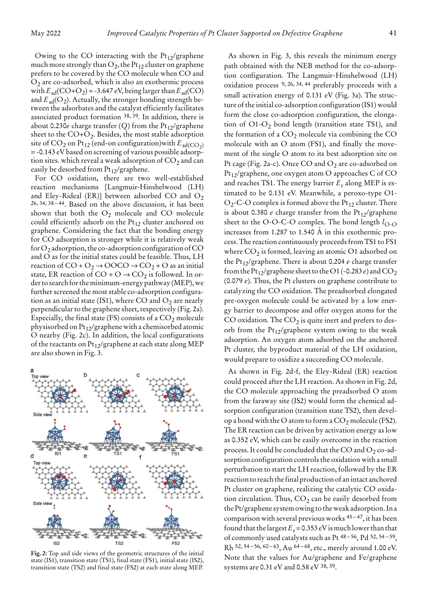Owing to the CO interacting with the  $Pt_{12}/graph$ ene much more strongly than  $O_2$ , the Pt<sub>12</sub> cluster on graphene prefers to be covered by the CO molecule when CO and  $O<sub>2</sub>$  are co-adsorbed, which is also an exothermic process with  $E_{ad}(CO+O_2) = -3.647$  eV, being larger than  $E_{ad}(CO)$ and  $E_{ad}(O_2)$ . Actually, the stronger bonding strength between the adsorbates and the catalyst efficiently facilitates associated product formation 38, 39. In addition, there is about 0.230*e* charge transfer (*Q*) from the  $Pt_{12}/graph$ ene sheet to the  $CO+O<sub>2</sub>$ . Besides, the most stable adsorption site of  $CO_2$  on Pt<sub>12</sub> (end-on configuration) with  $E_{\text{ad}(CO_2)}$ = -0.143 eV based on screening of various possible adsorption sites. which reveal a weak adsorption of  $CO<sub>2</sub>$  and can easily be desorbed from Pt<sub>12</sub>/graphene.

For CO oxidation, there are two well-established reaction mechanisms [Langmuir-Hinshelwood (LH) and Eley-Rideal (ER)] between adsorbed CO and  $O_2$ 26, 34, 38 – 44. Based on the above discussion, it has been shown that both the  $O_2$  molecule and CO molecule could efficiently adsorb on the  $Pt_{12}$  cluster anchored on graphene. Considering the fact that the bonding energy for CO adsorption is stronger while it is relatively weak for  $O_2$  adsorption, the co-adsorption configuration of CO and O as for the initial states could be feasible. Thus, LH reaction of  $CO + O_2 \rightarrow OOCO \rightarrow CO_2 + O$  as an initial state, ER reaction of CO + O  $\rightarrow$  CO<sub>2</sub> is followed. In order to search for the minimum-energy pathway (MEP), we further screened the most stable co-adsorption configuration as an initial state (IS1), where CO and  $O_2$  are nearly perpendicular to the graphene sheet, respectively (Fig. 2a). Especially, the final state (FS) consists of a  $CO_2$  molecule physisorbed on  $Pt_{12}/$ graphene with a chemisorbed atomic O nearby (Fig. 2c). In addition, the local configurations of the reactants on  $Pt_{12}/graph$ ene at each state along MEP are also shown in Fig. 3.



**Fig. 2:** Top and side views of the geometric structures of the initial state (IS1), transition state (TS1), final state (FS1), initial state (IS2), transition state (TS2) and final state (FS2) at each state along MEP.

As shown in Fig. 3, this reveals the minimum energy path obtained with the NEB method for the co-adsorption configuration. The Langmuir-Hinshelwood (LH) oxidation process 9, 26, 34, 44 preferably proceeds with a small activation energy of 0.131 eV (Fig. 3a). The structure of the initial co-adsorption configuration (IS1) would form the close co-adsorption configuration, the elongation of  $O1-O_2$  bond length (transition state TS1), and the formation of a  $CO<sub>2</sub>$  molecule via combining the CO molecule with an O atom (FS1), and finally the movement of the single O atom to its best adsorption site on Pt cage (Fig. 2a-c). Once CO and  $O_2$  are co-adsorbed on Pt12/graphene, one oxygen atom O approaches C of CO and reaches TS1. The energy barrier *E*<sup>r</sup> along MEP is estimated to be 0.131 eV. Meanwhile, a peroxo-type O1-  $O_2$ -C-O complex is formed above the Pt<sub>12</sub> cluster. There is about 0.380  $e$  charge transfer from the  $Pt_{12}/graph$ ene sheet to the O-O-C-O complex. The bond length  $l_{\text{O-O}}$ increases from  $1.287$  to  $1.540$  Å in this exothermic process. The reaction continuously proceeds from TS1 to FS1 where  $CO_2$  is formed, leaving an atomic O1 adsorbed on the Pt12/graphene. There is about 0.204 *e* charge transfer from the Pt<sub>12</sub>/graphene sheet to the O1 (-0.283  $e$ ) and CO<sub>2</sub> (0.079 *e*). Thus, the Pt clusters on graphene contribute to catalyzing the CO oxidation. The preadsorbed elongated pre-oxygen molecule could be activated by a low energy barrier to decompose and offer oxygen atoms for the CO oxidation. The  $CO<sub>2</sub>$  is quite inert and prefers to desorb from the  $Pt_{12}/grap$ hene system owing to the weak adsorption. An oxygen atom adsorbed on the anchored Pt cluster, the byproduct material of the LH oxidation, would prepare to oxidize a succeeding CO molecule.

As shown in Fig. 2d-f, the Eley-Rideal (ER) reaction could proceed after the LH reaction. As shown in Fig. 2d, the CO molecule approaching the preadsorbed O atom from the faraway site (IS2) would form the chemical adsorption configuration (transition state TS2), then develop a bond with the O atom to form a  $CO<sub>2</sub>$  molecule (FS2). The ER reaction can be driven by activation energy as low as 0.352 eV, which can be easily overcome in the reaction process. It could be concluded that the CO and  $O_2$  co-adsorption configuration controls the oxidation with a small perturbation to start the LH reaction, followed by the ER reaction to reach the final production of an intact anchored Pt cluster on graphene, realizing the catalytic CO oxidation circulation. Thus,  $CO<sub>2</sub>$  can be easily desorbed from the Pt/graphene system owing to the weak adsorption. In a comparison with several previous works 45 – 47, it has been found that the largest  $E_r$  = 0.353 eV is much lower than that of commonly used catalysts such as Pt 48 – 56, Pd 52, 54 – 59, Rh 52, 54 – 56, 60 – 63, Au 64 – 68, etc., merely around 1.00 eV. Note that the values for Au/graphene and Fe/graphene systems are 0.31 eV and 0.58 eV 38, 39.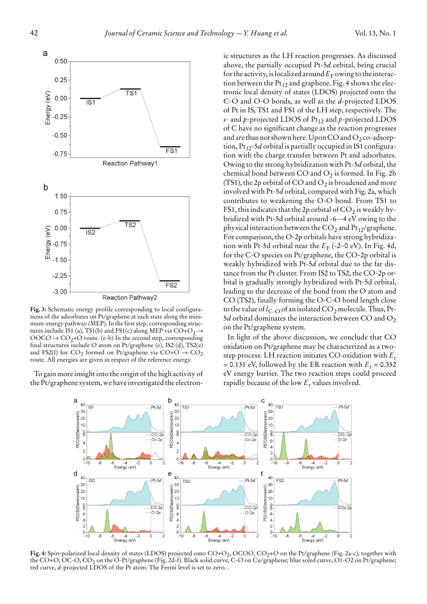

**Fig. 3:** Schematic energy profile corresponding to local configurations of the adsorbates on Pt/graphene at each state along the minimum-energy pathway (MEP). In the first step, corresponding structures include IS1 (a), TS1(b) and FS1(c) along MEP via  $CO + O_2 \rightarrow$  $OOCO \rightarrow CO<sub>2</sub>+O$  route. (e-h) In the second step, corresponding final structures include O atom on Pt/graphene (e), IS2 (d), TS2(e) and FS2(f) for  $CO_2$  formed on Pt/graphene via  $CO + O \rightarrow CO_2$ route. All energies are given in respect of the reference energy.

To gain more insight into the origin of the high activity of the Pt/graphene system, we have investigated the electronic structures as the LH reaction progresses. As discussed above, the partially occupied Pt-5*d* orbital, being crucial for the activity, is localized around  $E_F$  owing to the interaction between the  $Pt_{12}$  and graphene. Fig. 4 shows the electronic local density of states (LDOS) projected onto the C-O and O-O bonds, as well as the *d*-projected LDOS of Pt in IS, TS1 and FS1 of the LH step, respectively. The *s*- and *p*-projected LDOS of Pt<sub>12</sub> and *p*-projected LDOS of C have no significant change as the reaction progresses and are thus not shown here. Upon CO and  $O_2$  co-adsorption,  $Pt_{12}$ -5*d* orbital is partially occupied in IS1 configuration with the charge transfer between Pt and adsorbates. Owing to the strong hybridization with Pt-5*d* orbital, the chemical bond between CO and  $O_2$  is formed. In Fig. 2b (TS1), the 2p orbital of CO and  $O_2$  is broadened and more involved with Pt-5*d* orbital, compared with Fig. 2a, which contributes to weakening the O-O bond. From TS1 to FS1, this indicates that the 2p orbital of  $CO<sub>2</sub>$  is weakly hybridized with Pt-5d orbital around -6∼-4 eV owing to the physical interaction between the  $CO<sub>2</sub>$  and Pt<sub>12</sub>/graphene. For comparison, the O-2p orbitals have strong hybridization with Pt-5d orbital near the  $E_F$  (-2∼0 eV). In Fig. 4d, for the C-O species on Pt/graphene, the CO-2p orbital is weakly hybridized with Pt-5*d* orbital due to the far distance from the Pt cluster. From IS2 to TS2, the CO-2p orbital is gradually strongly hybridized with Pt-5d orbital, leading to the decrease of the bond from the O atom and CO (TS2), finally forming the O-C-O bond length close to the value of  $l_{C-O}$  of an isolated  $CO_2$  molecule. Thus, Pt- $5d$  orbital dominates the interaction between CO and  $O_2$ on the Pt/graphene system.

In light of the above discussion, we conclude that CO oxidation on Pt/graphene may be characterized as a twostep process: LH reaction initiates CO oxidation with *E*<sup>r</sup> = 0.131 eV, followed by the ER reaction with  $E_r$  = 0.352 eV energy barrier. The two reaction steps could proceed rapidly because of the low  $E_r$  values involved.



Fig. 4: Spin-polarized local density of states (LDOS) projected onto CO+O<sub>2</sub>, OCOO, CO<sub>2</sub>+O on the Pt/graphene (Fig. 2a-c), together with the CO+O, OC-O, CO2 on the O-Pt/graphene (Fig. 2d-f). Black solid curve, C-O on Cu/graphene; blue soled curve, O1-O2 on Pt/graphene; red curve, *d*-projected LDOS of the Pt atom. The Fermi level is set to zero. .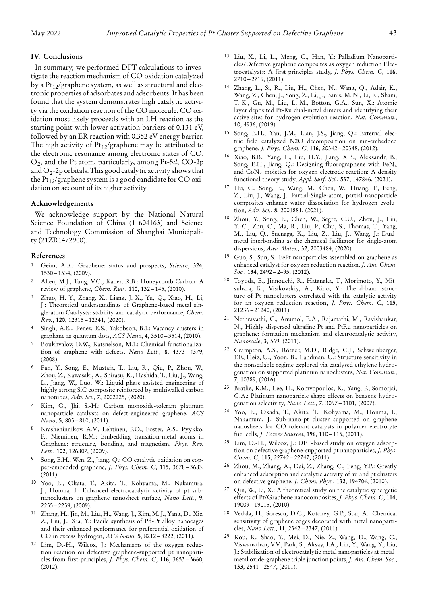#### **IV. Conclusions**

In summary, we performed DFT calculations to investigate the reaction mechanism of CO oxidation catalyzed by a  $Pt_{12}/$ graphene system, as well as structural and electronic properties of adsorbates and adsorbents. It has been found that the system demonstrates high catalytic activity via the oxidation reaction of the CO molecule. CO oxidation most likely proceeds with an LH reaction as the starting point with lower activation barriers of 0.131 eV, followed by an ER reaction with 0.352 eV energy barrier. The high activity of  $Pt_{12}/graph$ ene may be attributed to the electronic resonance among electronic states of CO, O2, and the Pt atom, particularly, among Pt-5*d*, CO-2p and  $O_2$ -2p orbitals. This good catalytic activity shows that the  $Pt_{12}/$ graphene system is a good candidate for CO oxidation on account of its higher activity.

#### **Acknowledgements**

We acknowledge support by the National Natural Science Foundation of China (11604163) and Science and Technology Commission of Shanghai Municipality (21ZR1472900).

#### **References**

- 1 Geim, A.K.: Graphene: status and prospects, *Science*, **324**, 1530 – 1534, (2009).
- 2 Allen, M.J., Tung, V.C., Kaner, R.B.: Honeycomb Carbon: A review of graphene, *Chem. Rev.*, **110**, 132 – 145, (2010).
- 3 Zhuo, H.-Y., Zhang, X., Liang, J.-X., Yu, Q., Xiao, H., Li, J.: Theoretical understandings of Graphene-based metal single-atom Catalysts: stability and catalytic performance, *Chem. Rev.*, **120**, 12315 – 12341, (2020).
- Singh, A.K., Penev, E.S., Yakobson, B.I.: Vacancy clusters in graphane as quantum dots, *ACS Nano*, **4**, 3510 – 3514, (2010).
- 5 Boukhvalov, D.W., Katsnelson, M.I.: Chemical functionalization of graphene with defects, *Nano Lett.*, **8**, 4373 – 4379, (2008).
- 6 Fan, Y., Song, E., Mustafa, T., Liu, R., Qiu, P., Zhou, W., Zhou, Z., Kawasaki, A., Shirasu, K., Hashida, T., Liu, J., Wang, L., Jiang, W., Luo, W.: Liquid-phase assisted engineering of highly strong SiC composite reinforced by multiwalled carbon nanotubes, *Adv. Sci.*, **7**, 2002225, (2020).
- Kim, G., Jhi, S.-H.: Carbon monoxide-tolerant platinum nanoparticle catalysts on defect-engineered graphene, *ACS Nano*, **5**, 805 – 810, (2011).
- 8 Krasheninnikov, A.V., Lehtinen, P.O., Foster, A.S., Pyykko, P., Nieminen, R.M.: Embedding transition-metal atoms in Graphene: structure, bonding, and magnetism, *Phys. Rev. Lett.*, **102**, 126807, (2009).
- 9 Song, E.H., Wen, Z., Jiang, Q.: CO catalytic oxidation on copper-embedded graphene, *J. Phys. Chem. C*, **115**, 3678 – 3683, (2011).
- 10 Yoo, E., Okata, T., Akita, T., Kohyama, M., Nakamura, J., Honma, I.: Enhanced electrocatalytic activity of pt subnanoclusters on graphene nanosheet surface, *Nano Lett.*, **9**,  $2255 - 2259$ , (2009).
- Zhang, H., Jin, M., Liu, H., Wang, J., Kim, M.J., Yang, D., Xie, Z., Liu, J., Xia, Y.: Facile synthesis of Pd-Pt alloy nanocages and their enhanced performance for preferential oxidation of CO in excess hydrogen, *ACS Nano*, **5**, 8212 – 8222, (2011).
- 12 Lim, D.-H., Wilcox, J.: Mechanisms of the oxygen reduction reaction on defective graphene-supported pt nanoparticles from first-principles, *J. Phys. Chem. C*, **116**, 3653 – 3660, (2012).
- 13 Liu, X., Li, L., Meng, C., Han, Y.: Palladium Nanoparticles/Defective graphene composites as oxygen reduction Electrocatalysts: A first-principles study, *J. Phys. Chem. C*, **116**, 2710 – 2719, (2011).
- 14 Zhang, L., Si, R., Liu, H., Chen, N., Wang, Q., Adair, K., Wang, Z., Chen, J., Song, Z., Li, J., Banis, M. N., Li, R., Sham, T.-K., Gu, M., Liu, L.-M., Botton, G.A., Sun, X.: Atomic layer deposited Pt-Ru dual-metal dimers and identifying their active sites for hydrogen evolution reaction, *Nat. Commun.*, **10**, 4936, (2019).
- 15 Song, E.H., Yan, J.M., Lian, J.S., Jiang, Q.: External electric field catalyzed N2O decomposition on mn-embedded graphene, *J. Phys. Chem. C*, **116**, 20342 – 20348, (2012).
- Xiao, B.B., Yang, L., Liu, H.Y., Jiang, X.B., Aleksandr, B., Song, E.H., Jiang, Q.: Designing fluorographene with FeN4 and CoN4 moieties for oxygen electrode reaction: A density functional theory study, *Appl. Surf. Sci.*, **537**, 147846, (2021).
- Hu, C., Song, E., Wang, M., Chen, W., Huang, F., Feng, Z., Liu, J., Wang, J.: Partial-Single-atom, partial-nanoparticle composites enhance water dissociation for hydrogen evolution, *Adv. Sci.*, **8**, 2001881, (2021).
- 18 Zhou, Y., Song, E., Chen, W., Segre, C.U., Zhou, J., Lin, Y.-C., Zhu, C., Ma, R., Liu, P., Chu, S., Thomas, T., Yang, M., Liu, Q., Suenaga, K., Liu, Z., Liu, J., Wang, J.: Dualmetal interbonding as the chemical facilitator for single-atom dispersions, *Adv. Mater.*, **32**, 2003484, (2020).
- 19 Guo, S., Sun, S.: FePt nanoparticles assembled on graphene as enhanced catalyst for oxygen reduction reaction, *J. Am. Chem. Soc.*, **134**, 2492 – 2495, (2012).
- 20 Toyoda, E., Jinnouchi, R., Hatanaka, T., Morimoto, Y., Mitsuhara, K., Visikovskiy, A., Kido, Y.: The d-band structure of Pt nanoclusters correlated with the catalytic activity for an oxygen reduction reaction, *J. Phys. Chem. C*, **115**, 21236 – 21240, (2011).
- 21 Nethravathi, C., Anumol, E.A., Rajamathi, M., Ravishankar, N., Highly dispersed ultrafine Pt and PtRu nanoparticles on graphene: formation mechanism and electrocatalytic activity, *Nanoscale*, **3**, 569, (2011).
- 22 Crampton, A.S., Rötzer, M.D., Ridge, C.J., Schweinberger, F.F., Heiz, U., Yoon, B., Landman, U.: Structure sensitivity in the nonscalable regime explored via catalysed ethylene hydrogenation on supported platinum nanoclusters, *Nat. Commun.*, **7**, 10389, (2016).
- 23 Bratlie, K.M., Lee, H., Komvopoulos, K., Yang, P., Somorjai, G.A.: Platinum nanoparticle shape effects on benzene hydrogenation selectivity, *Nano Lett.*, **7**, 3097 – 3101, (2007).
- 24 Yoo, E., Okada, T., Akita, T., Kohyama, M., Honma, I., Nakamura, J.: Sub-nano-pt cluster supported on graphene nanosheets for CO tolerant catalysts in polymer electrolyte fuel cells, *J. Power Sources*, **196**, 110 – 115, (2011).
- 25 Lim, D.-H., Wilcox, J.: DFT-based study on oxygen adsorption on defective graphene-supported pt nanoparticles, *J. Phys. Chem. C*, **115**, 22742 – 22747, (2011).
- 26 Zhou, M., Zhang, A., Dai, Z., Zhang, C., Feng, Y.P.: Greatly enhanced adsorption and catalytic activity of au and pt clusters on defective graphene, *J. Chem. Phys.*, **132**, 194704, (2010).
- Qin, W., Li, X.: A theoretical study on the catalytic synergetic effects of Pt/Graphene nanocomposites, *J. Phys. Chem. C*, **114**, 19009 – 19015, (2010).
- 28 Vedala, H., Sorescu, D.C., Kotchey, G.P., Star, A.: Chemical sensitivity of graphene edges decorated with metal nanoparticles, *Nano Lett.*, **11**, 2342 – 2347, (2011).
- 29 Kou, R., Shao, Y., Mei, D., Nie, Z., Wang, D., Wang, C., Viswanathan, V.V., Park, S., Aksay, I.A., Lin, Y., Wang, Y., Liu, J.: Stabilization of electrocatalytic metal nanoparticles at metalmetal oxide-graphene triple junction points, *J. Am. Chem. Soc.*, **133**, 2541 – 2547, (2011).